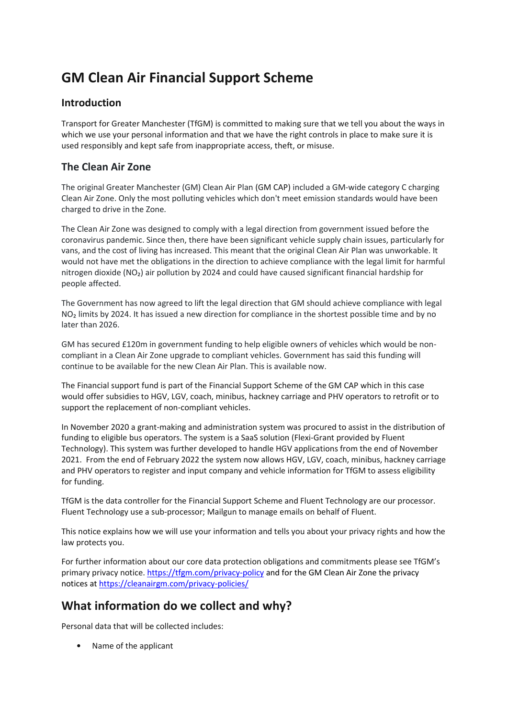# **GM Clean Air Financial Support Scheme**

#### **Introduction**

Transport for Greater Manchester (TfGM) is committed to making sure that we tell you about the ways in which we use your personal information and that we have the right controls in place to make sure it is used responsibly and kept safe from inappropriate access, theft, or misuse.

#### **The Clean Air Zone**

The original Greater Manchester (GM) Clean Air Plan (GM CAP) included a GM-wide category C charging Clean Air Zone. Only the most polluting vehicles which don't meet emission standards would have been charged to drive in the Zone.

The Clean Air Zone was designed to comply with a legal direction from government issued before the coronavirus pandemic. Since then, there have been significant vehicle supply chain issues, particularly for vans, and the cost of living has increased. This meant that the original Clean Air Plan was unworkable. It would not have met the obligations in the direction to achieve compliance with the legal limit for harmful nitrogen dioxide (NO₂) air pollution by 2024 and could have caused significant financial hardship for people affected.

The Government has now agreed to lift the legal direction that GM should achieve compliance with legal NO<sub>2</sub> limits by 2024. It has issued a new direction for compliance in the shortest possible time and by no later than 2026.

GM has secured £120m in government funding to help eligible owners of vehicles which would be noncompliant in a Clean Air Zone upgrade to compliant vehicles. Government has said this funding will continue to be available for the new Clean Air Plan. This is available now.

The Financial support fund is part of the Financial Support Scheme of the GM CAP which in this case would offer subsidies to HGV, LGV, coach, minibus, hackney carriage and PHV operators to retrofit or to support the replacement of non-compliant vehicles.

In November 2020 a grant-making and administration system was procured to assist in the distribution of funding to eligible bus operators. The system is a SaaS solution (Flexi-Grant provided by Fluent Technology). This system was further developed to handle HGV applications from the end of November 2021. From the end of February 2022 the system now allows HGV, LGV, coach, minibus, hackney carriage and PHV operators to register and input company and vehicle information for TfGM to assess eligibility for funding.

TfGM is the data controller for the Financial Support Scheme and Fluent Technology are our processor. Fluent Technology use a sub-processor; Mailgun to manage emails on behalf of Fluent.

This notice explains how we will use your information and tells you about your privacy rights and how the law protects you.

For further information about our core data protection obligations and commitments please see TfGM's primary privacy notice[. https://tfgm.com/privacy-policy](https://tfgm.com/privacy-policy) and for the GM Clean Air Zone the privacy notices at <https://cleanairgm.com/privacy-policies/>

# **What information do we collect and why?**

Personal data that will be collected includes:

• Name of the applicant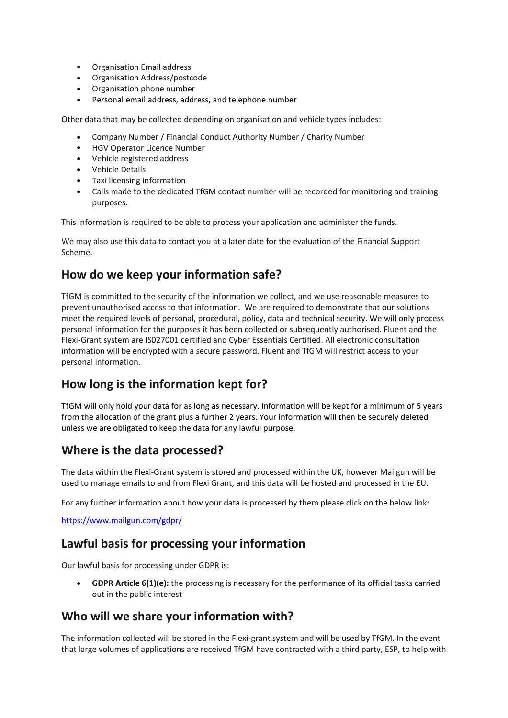- Organisation Email address
- Organisation Address/postcode
- Organisation phone number
- Personal email address, address, and telephone number

Other data that may be collected depending on organisation and vehicle types includes:

- Company Number / Financial Conduct Authority Number / Charity Number
- HGV Operator Licence Number
- Vehicle registered address
- Vehicle Details
- Taxi licensing information
- Calls made to the dedicated TfGM contact number will be recorded for monitoring and training purposes.

This information is required to be able to process your application and administer the funds.

We may also use this data to contact you at a later date for the evaluation of the Financial Support Scheme.

## **How do we keep your information safe?**

TfGM is committed to the security of the information we collect, and we use reasonable measures to prevent unauthorised access to that information. We are required to demonstrate that our solutions meet the required levels of personal, procedural, policy, data and technical security. We will only process personal information for the purposes it has been collected or subsequently authorised. Fluent and the Flexi-Grant system are IS027001 certified and Cyber Essentials Certified. All electronic consultation information will be encrypted with a secure password. Fluent and TfGM will restrict access to your personal information.

# **How long is the information kept for?**

TfGM will only hold your data for as long as necessary. Information will be kept for a minimum of 5 years from the allocation of the grant plus a further 2 years. Your information will then be securely deleted unless we are obligated to keep the data for any lawful purpose.

### **Where is the data processed?**

The data within the Flexi-Grant system is stored and processed within the UK, however Mailgun will be used to manage emails to and from Flexi Grant, and this data will be hosted and processed in the EU.

For any further information about how your data is processed by them please click on the below link:

<https://www.mailgun.com/gdpr/>

### **Lawful basis for processing your information**

Our lawful basis for processing under GDPR is:

• **GDPR Article 6(1)(e):** the processing is necessary for the performance of its official tasks carried out in the public interest

### **Who will we share your information with?**

The information collected will be stored in the Flexi-grant system and will be used by TfGM. In the event that large volumes of applications are received TfGM have contracted with a third party, ESP, to help with